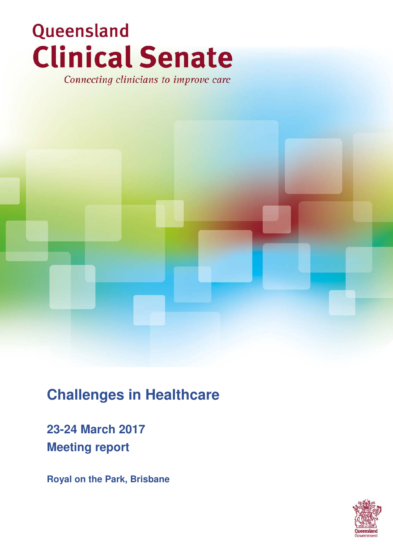# Queensland **Clinical Senate**

Connecting clinicians to improve care

# **Challenges in Healthcare**

# **23-24 March 2017 Meeting report**

**Royal on the Park, Brisbane**

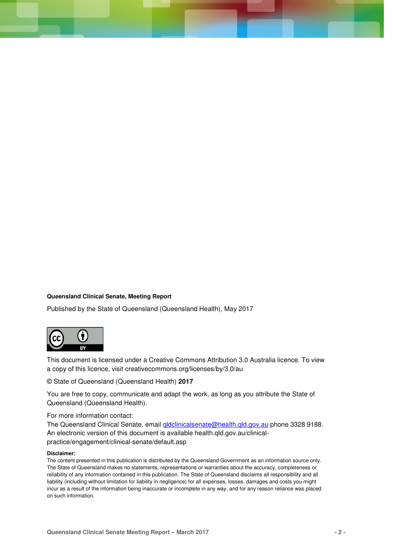#### **Queensland Clinical Senate, Meeting Report**

Published by the State of Queensland (Queensland Health), May 2017



This document is licensed under a Creative Commons Attribution 3.0 Australia licence. To view a copy of this licence, visit creativecommons.org/licenses/by/3.0/au

© State of Queensland (Queensland Health) **2017**

You are free to copy, communicate and adapt the work, as long as you attribute the State of Queensland (Queensland Health).

For more information contact:

The Queensland Clinical Senate, email qldclinicalsenate@health.qld.gov.au phone 3328 9188. An electronic version of this document is available health.qld.gov.au/clinicalpractice/engagement/clinical-senate/default.asp

#### **Disclaimer:**

The content presented in this publication is distributed by the Queensland Government as an information source only. The State of Queensland makes no statements, representations or warranties about the accuracy, completeness or reliability of any information contained in this publication. The State of Queensland disclaims all responsibility and all liability (including without limitation for liability in negligence) for all expenses, losses, damages and costs you might incur as a result of the information being inaccurate or incomplete in any way, and for any reason reliance was placed on such information.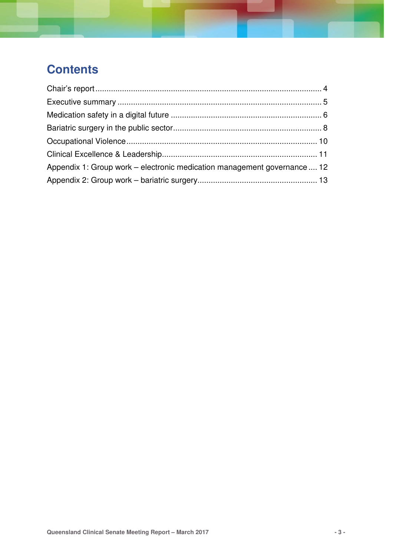# **Contents**

| Appendix 1: Group work – electronic medication management governance  12 |  |
|--------------------------------------------------------------------------|--|
|                                                                          |  |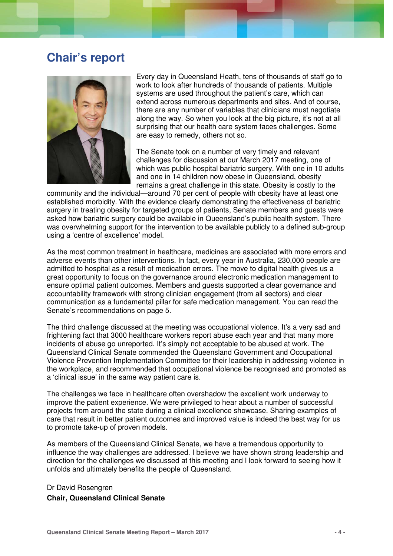# **Chair's report**



Every day in Queensland Heath, tens of thousands of staff go to work to look after hundreds of thousands of patients. Multiple systems are used throughout the patient's care, which can extend across numerous departments and sites. And of course, there are any number of variables that clinicians must negotiate along the way. So when you look at the big picture, it's not at all surprising that our health care system faces challenges. Some are easy to remedy, others not so.

The Senate took on a number of very timely and relevant challenges for discussion at our March 2017 meeting, one of which was public hospital bariatric surgery. With one in 10 adults and one in 14 children now obese in Queensland, obesity remains a great challenge in this state. Obesity is costly to the

community and the individual—around 70 per cent of people with obesity have at least one established morbidity. With the evidence clearly demonstrating the effectiveness of bariatric surgery in treating obesity for targeted groups of patients, Senate members and guests were asked how bariatric surgery could be available in Queensland's public health system. There was overwhelming support for the intervention to be available publicly to a defined sub-group using a 'centre of excellence' model.

As the most common treatment in healthcare, medicines are associated with more errors and adverse events than other interventions. In fact, every year in Australia, 230,000 people are admitted to hospital as a result of medication errors. The move to digital health gives us a great opportunity to focus on the governance around electronic medication management to ensure optimal patient outcomes. Members and guests supported a clear governance and accountability framework with strong clinician engagement (from all sectors) and clear communication as a fundamental pillar for safe medication management. You can read the Senate's recommendations on page 5.

The third challenge discussed at the meeting was occupational violence. It's a very sad and frightening fact that 3000 healthcare workers report abuse each year and that many more incidents of abuse go unreported. It's simply not acceptable to be abused at work. The Queensland Clinical Senate commended the Queensland Government and Occupational Violence Prevention Implementation Committee for their leadership in addressing violence in the workplace, and recommended that occupational violence be recognised and promoted as a 'clinical issue' in the same way patient care is.

The challenges we face in healthcare often overshadow the excellent work underway to improve the patient experience. We were privileged to hear about a number of successful projects from around the state during a clinical excellence showcase. Sharing examples of care that result in better patient outcomes and improved value is indeed the best way for us to promote take-up of proven models.

As members of the Queensland Clinical Senate, we have a tremendous opportunity to influence the way challenges are addressed. I believe we have shown strong leadership and direction for the challenges we discussed at this meeting and I look forward to seeing how it unfolds and ultimately benefits the people of Queensland.

#### Dr David Rosengren **Chair, Queensland Clinical Senate**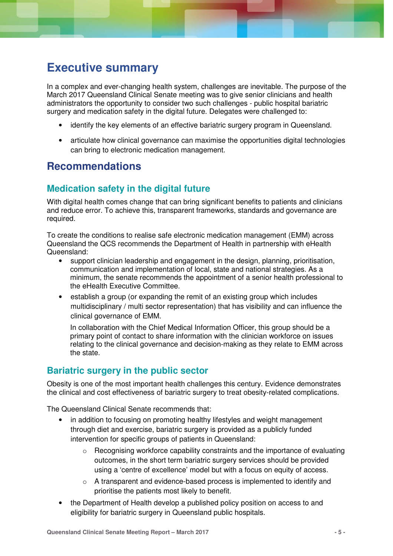# **Executive summary**

In a complex and ever-changing health system, challenges are inevitable. The purpose of the March 2017 Queensland Clinical Senate meeting was to give senior clinicians and health administrators the opportunity to consider two such challenges - public hospital bariatric surgery and medication safety in the digital future. Delegates were challenged to:

- identify the key elements of an effective bariatric surgery program in Queensland.
- articulate how clinical governance can maximise the opportunities digital technologies can bring to electronic medication management.

# **Recommendations**

# **Medication safety in the digital future**

With digital health comes change that can bring significant benefits to patients and clinicians and reduce error. To achieve this, transparent frameworks, standards and governance are required.

To create the conditions to realise safe electronic medication management (EMM) across Queensland the QCS recommends the Department of Health in partnership with eHealth Queensland:

- support clinician leadership and engagement in the design, planning, prioritisation, communication and implementation of local, state and national strategies. As a minimum, the senate recommends the appointment of a senior health professional to the eHealth Executive Committee.
- establish a group (or expanding the remit of an existing group which includes multidisciplinary / multi sector representation) that has visibility and can influence the clinical governance of EMM.

In collaboration with the Chief Medical Information Officer, this group should be a primary point of contact to share information with the clinician workforce on issues relating to the clinical governance and decision-making as they relate to EMM across the state.

## **Bariatric surgery in the public sector**

Obesity is one of the most important health challenges this century. Evidence demonstrates the clinical and cost effectiveness of bariatric surgery to treat obesity-related complications.

The Queensland Clinical Senate recommends that:

- in addition to focusing on promoting healthy lifestyles and weight management through diet and exercise, bariatric surgery is provided as a publicly funded intervention for specific groups of patients in Queensland:
	- $\circ$  Recognising workforce capability constraints and the importance of evaluating outcomes, in the short term bariatric surgery services should be provided using a 'centre of excellence' model but with a focus on equity of access.
	- $\circ$  A transparent and evidence-based process is implemented to identify and prioritise the patients most likely to benefit.
- the Department of Health develop a published policy position on access to and eligibility for bariatric surgery in Queensland public hospitals.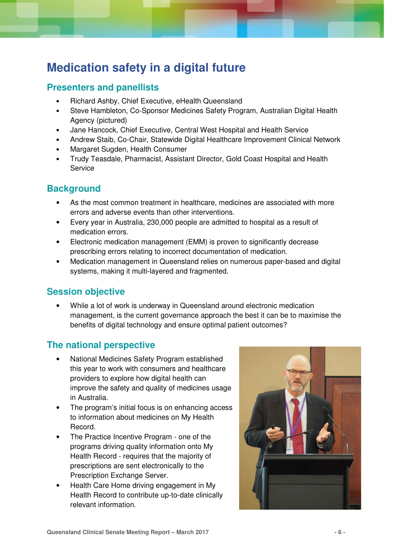# **Medication safety in a digital future**

## **Presenters and panellists**

- Richard Ashby, Chief Executive, eHealth Queensland
- Steve Hambleton, Co-Sponsor Medicines Safety Program, Australian Digital Health Agency (pictured)
- Jane Hancock, Chief Executive, Central West Hospital and Health Service
- Andrew Staib, Co-Chair, Statewide Digital Healthcare Improvement Clinical Network
- Margaret Sugden, Health Consumer
- Trudy Teasdale, Pharmacist, Assistant Director, Gold Coast Hospital and Health Service

# **Background**

- As the most common treatment in healthcare, medicines are associated with more errors and adverse events than other interventions.
- Every year in Australia, 230,000 people are admitted to hospital as a result of medication errors.
- Electronic medication management (EMM) is proven to significantly decrease prescribing errors relating to incorrect documentation of medication.
- Medication management in Queensland relies on numerous paper-based and digital systems, making it multi-layered and fragmented.

## **Session objective**

• While a lot of work is underway in Queensland around electronic medication management, is the current governance approach the best it can be to maximise the benefits of digital technology and ensure optimal patient outcomes?

## **The national perspective**

- National Medicines Safety Program established this year to work with consumers and healthcare providers to explore how digital health can improve the safety and quality of medicines usage in Australia.
- The program's initial focus is on enhancing access to information about medicines on My Health Record.
- The Practice Incentive Program one of the programs driving quality information onto My Health Record - requires that the majority of prescriptions are sent electronically to the Prescription Exchange Server.
- Health Care Home driving engagement in My Health Record to contribute up-to-date clinically relevant information.

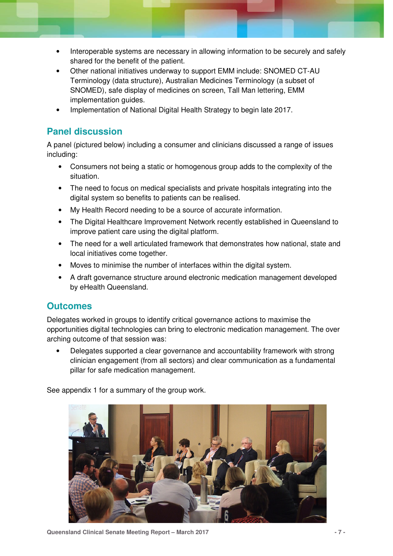- Interoperable systems are necessary in allowing information to be securely and safely shared for the benefit of the patient.
- Other national initiatives underway to support EMM include: SNOMED CT-AU Terminology (data structure), Australian Medicines Terminology (a subset of SNOMED), safe display of medicines on screen, Tall Man lettering, EMM implementation guides.
- Implementation of National Digital Health Strategy to begin late 2017.

#### **Panel discussion**

A panel (pictured below) including a consumer and clinicians discussed a range of issues including:

- Consumers not being a static or homogenous group adds to the complexity of the situation.
- The need to focus on medical specialists and private hospitals integrating into the digital system so benefits to patients can be realised.
- My Health Record needing to be a source of accurate information.
- The Digital Healthcare Improvement Network recently established in Queensland to improve patient care using the digital platform.
- The need for a well articulated framework that demonstrates how national, state and local initiatives come together.
- Moves to minimise the number of interfaces within the digital system.
- A draft governance structure around electronic medication management developed by eHealth Queensland.

#### **Outcomes**

Delegates worked in groups to identify critical governance actions to maximise the opportunities digital technologies can bring to electronic medication management. The over arching outcome of that session was:

• Delegates supported a clear governance and accountability framework with strong clinician engagement (from all sectors) and clear communication as a fundamental pillar for safe medication management.

See appendix 1 for a summary of the group work.



**Queensland Clinical Senate Meeting Report – March 2017 - 7 -**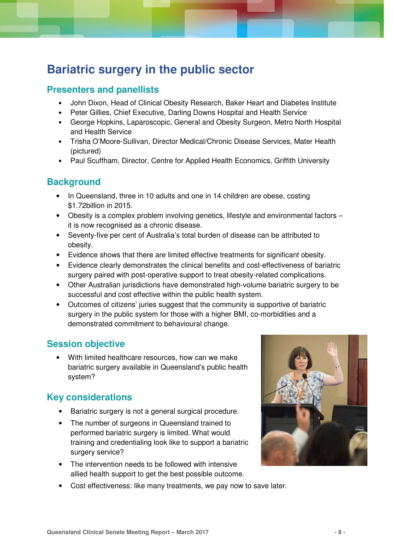# **Bariatric surgery in the public sector**

## **Presenters and panellists**

- John Dixon, Head of Clinical Obesity Research, Baker Heart and Diabetes Institute
- Peter Gillies, Chief Executive, Darling Downs Hospital and Health Service
- George Hopkins, Laparoscopic, General and Obesity Surgeon, Metro North Hospital and Health Service
- Trisha O'Moore-Sullivan, Director Medical/Chronic Disease Services, Mater Health (pictured)
- Paul Scuffham, Director, Centre for Applied Health Economics, Griffith University

## **Background**

- In Queensland, three in 10 adults and one in 14 children are obese, costing \$1.72billion in 2015.
- Obesity is a complex problem involving genetics, lifestyle and environmental factors it is now recognised as a chronic disease.
- Seventy-five per cent of Australia's total burden of disease can be attributed to obesity.
- Evidence shows that there are limited effective treatments for significant obesity.
- Evidence clearly demonstrates the clinical benefits and cost-effectiveness of bariatric surgery paired with post-operative support to treat obesity-related complications.
- Other Australian jurisdictions have demonstrated high-volume bariatric surgery to be successful and cost effective within the public health system.
- Outcomes of citizens' juries suggest that the community is supportive of bariatric surgery in the public system for those with a higher BMI, co-morbidities and a demonstrated commitment to behavioural change.

## **Session objective**

• With limited healthcare resources, how can we make bariatric surgery available in Queensland's public health system?

## **Key considerations**

- Bariatric surgery is not a general surgical procedure.
- The number of surgeons in Queensland trained to performed bariatric surgery is limited. What would training and credentialing look like to support a bariatric surgery service?
- The intervention needs to be followed with intensive allied health support to get the best possible outcome.
- Cost effectiveness: like many treatments, we pay now to save later.

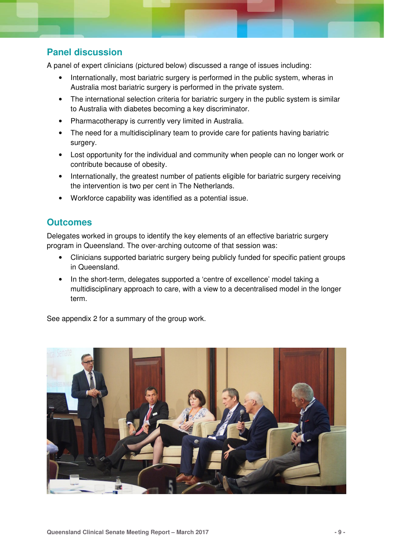# **Panel discussion**

A panel of expert clinicians (pictured below) discussed a range of issues including:

- Internationally, most bariatric surgery is performed in the public system, wheras in Australia most bariatric surgery is performed in the private system.
- The international selection criteria for bariatric surgery in the public system is similar to Australia with diabetes becoming a key discriminator.
- Pharmacotherapy is currently very limited in Australia.
- The need for a multidisciplinary team to provide care for patients having bariatric surgery.
- Lost opportunity for the individual and community when people can no longer work or contribute because of obesity.
- Internationally, the greatest number of patients eligible for bariatric surgery receiving the intervention is two per cent in The Netherlands.
- Workforce capability was identified as a potential issue.

# **Outcomes**

Delegates worked in groups to identify the key elements of an effective bariatric surgery program in Queensland. The over-arching outcome of that session was:

- Clinicians supported bariatric surgery being publicly funded for specific patient groups in Queensland.
- In the short-term, delegates supported a 'centre of excellence' model taking a multidisciplinary approach to care, with a view to a decentralised model in the longer term.

See appendix 2 for a summary of the group work.

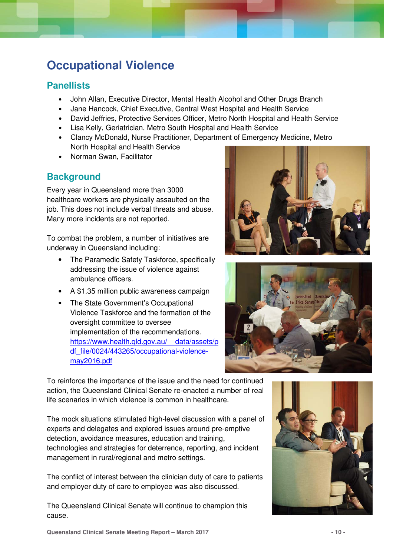# **Occupational Violence**

## **Panellists**

- John Allan, Executive Director, Mental Health Alcohol and Other Drugs Branch
- Jane Hancock, Chief Executive, Central West Hospital and Health Service
- David Jeffries, Protective Services Officer, Metro North Hospital and Health Service
- Lisa Kelly, Geriatrician, Metro South Hospital and Health Service
- Clancy McDonald, Nurse Practitioner, Department of Emergency Medicine, Metro North Hospital and Health Service
- Norman Swan, Facilitator

# **Background**

Every year in Queensland more than 3000 healthcare workers are physically assaulted on the job. This does not include verbal threats and abuse. Many more incidents are not reported.

To combat the problem, a number of initiatives are underway in Queensland including:

- The Paramedic Safety Taskforce, specifically addressing the issue of violence against ambulance officers.
- A \$1.35 million public awareness campaign
- The State Government's Occupational Violence Taskforce and the formation of the oversight committee to oversee implementation of the recommendations. https://www.health.qld.gov.au/ data/assets/p df\_file/0024/443265/occupational-violencemay2016.pdf





To reinforce the importance of the issue and the need for continued action, the Queensland Clinical Senate re-enacted a number of real life scenarios in which violence is common in healthcare.

The mock situations stimulated high-level discussion with a panel of experts and delegates and explored issues around pre-emptive detection, avoidance measures, education and training, technologies and strategies for deterrence, reporting, and incident management in rural/regional and metro settings.

The conflict of interest between the clinician duty of care to patients and employer duty of care to employee was also discussed.

The Queensland Clinical Senate will continue to champion this cause.



**Queensland Clinical Senate Meeting Report – March 2017 - 10 -**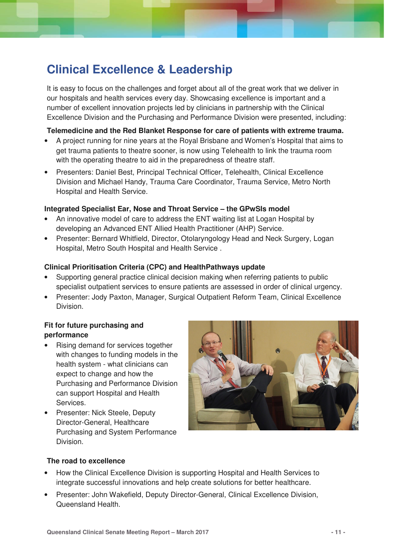# **Clinical Excellence & Leadership**

It is easy to focus on the challenges and forget about all of the great work that we deliver in our hospitals and health services every day. Showcasing excellence is important and a number of excellent innovation projects led by clinicians in partnership with the Clinical Excellence Division and the Purchasing and Performance Division were presented, including:

#### **Telemedicine and the Red Blanket Response for care of patients with extreme trauma.**

- A project running for nine years at the Royal Brisbane and Women's Hospital that aims to get trauma patients to theatre sooner, is now using Telehealth to link the trauma room with the operating theatre to aid in the preparedness of theatre staff.
- Presenters: Daniel Best, Principal Technical Officer, Telehealth, Clinical Excellence Division and Michael Handy, Trauma Care Coordinator, Trauma Service, Metro North Hospital and Health Service.

#### **Integrated Specialist Ear, Nose and Throat Service – the GPwSIs model**

- An innovative model of care to address the ENT waiting list at Logan Hospital by developing an Advanced ENT Allied Health Practitioner (AHP) Service.
- Presenter: Bernard Whitfield, Director, Otolaryngology Head and Neck Surgery, Logan Hospital, Metro South Hospital and Health Service .

#### **Clinical Prioritisation Criteria (CPC) and HealthPathways update**

- Supporting general practice clinical decision making when referring patients to public specialist outpatient services to ensure patients are assessed in order of clinical urgency.
- Presenter: Jody Paxton, Manager, Surgical Outpatient Reform Team, Clinical Excellence Division.

#### **Fit for future purchasing and performance**

- Rising demand for services together with changes to funding models in the health system - what clinicians can expect to change and how the Purchasing and Performance Division can support Hospital and Health Services.
- Presenter: Nick Steele, Deputy Director-General, Healthcare Purchasing and System Performance Division.



#### **The road to excellence**

- How the Clinical Excellence Division is supporting Hospital and Health Services to integrate successful innovations and help create solutions for better healthcare.
- Presenter: John Wakefield, Deputy Director-General, Clinical Excellence Division, Queensland Health.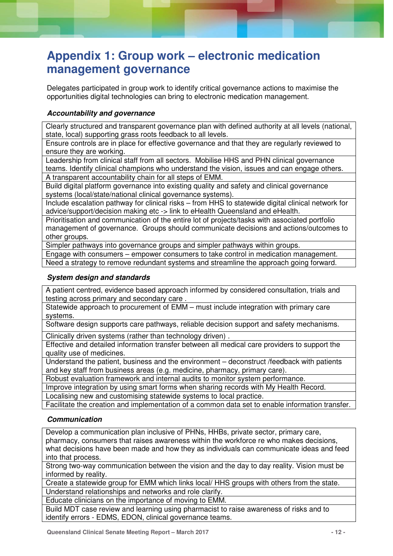# **Appendix 1: Group work – electronic medication management governance**

Delegates participated in group work to identify critical governance actions to maximise the opportunities digital technologies can bring to electronic medication management.

#### **Accountability and governance**

Clearly structured and transparent governance plan with defined authority at all levels (national, state, local) supporting grass roots feedback to all levels.

Ensure controls are in place for effective governance and that they are regularly reviewed to ensure they are working.

Leadership from clinical staff from all sectors. Mobilise HHS and PHN clinical governance teams. Identify clinical champions who understand the vision, issues and can engage others. A transparent accountability chain for all steps of EMM.

Build digital platform governance into existing quality and safety and clinical governance systems (local/state/national clinical governance systems).

Include escalation pathway for clinical risks – from HHS to statewide digital clinical network for advice/support/decision making etc -> link to eHealth Queensland and eHealth.

Prioritisation and communication of the entire lot of projects/tasks with associated portfolio management of governance. Groups should communicate decisions and actions/outcomes to other groups.

Simpler pathways into governance groups and simpler pathways within groups.

Engage with consumers – empower consumers to take control in medication management.

Need a strategy to remove redundant systems and streamline the approach going forward.

#### **System design and standards**

A patient centred, evidence based approach informed by considered consultation, trials and testing across primary and secondary care .

Statewide approach to procurement of EMM – must include integration with primary care systems.

Software design supports care pathways, reliable decision support and safety mechanisms.

Clinically driven systems (rather than technology driven) .

Effective and detailed information transfer between all medical care providers to support the quality use of medicines.

Understand the patient, business and the environment – deconstruct /feedback with patients and key staff from business areas (e.g. medicine, pharmacy, primary care).

Robust evaluation framework and internal audits to monitor system performance.

Improve integration by using smart forms when sharing records with My Health Record.

Localising new and customising statewide systems to local practice.

Facilitate the creation and implementation of a common data set to enable information transfer.

#### **Communication**

Develop a communication plan inclusive of PHNs, HHBs, private sector, primary care, pharmacy, consumers that raises awareness within the workforce re who makes decisions, what decisions have been made and how they as individuals can communicate ideas and feed into that process.

Strong two-way communication between the vision and the day to day reality. Vision must be informed by reality.

Create a statewide group for EMM which links local/ HHS groups with others from the state. Understand relationships and networks and role clarify.

Educate clinicians on the importance of moving to EMM.

Build MDT case review and learning using pharmacist to raise awareness of risks and to identify errors - EDMS, EDON, clinical governance teams.